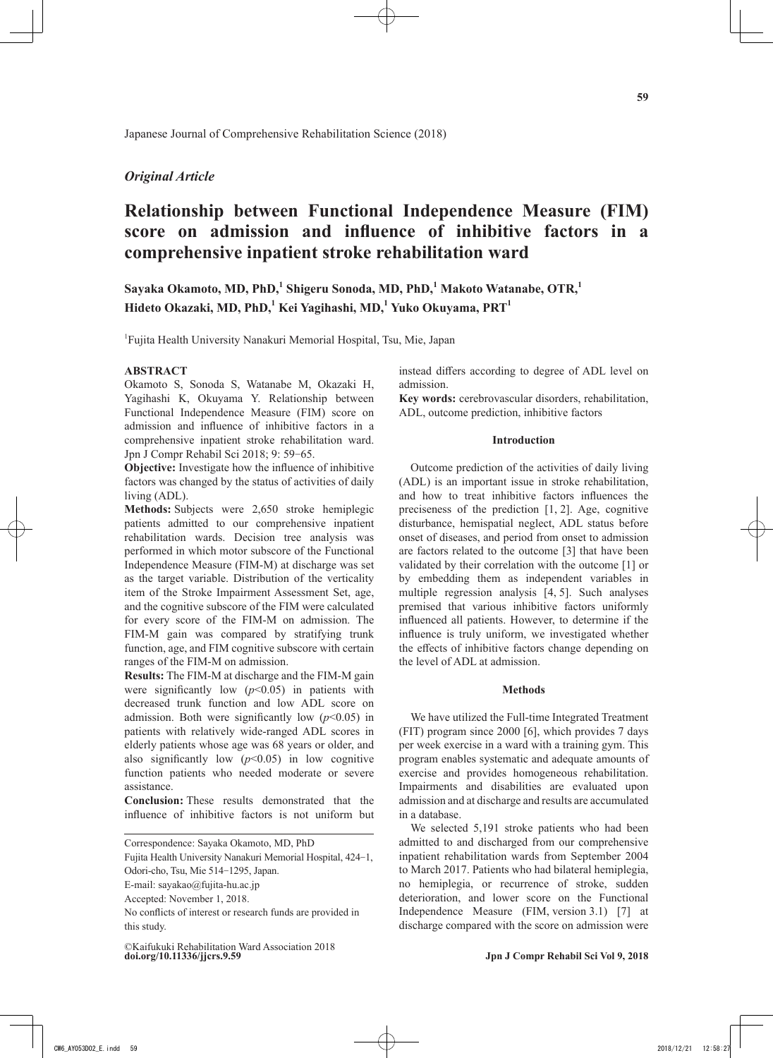# *Original Article*

# **Relationship between Functional Independence Measure (FIM) score on admission and influence of inhibitive factors in a comprehensive inpatient stroke rehabilitation ward**

 $S$ ayaka Okamoto, MD, PhD, $^1$  Shigeru Sonoda, MD, PhD, $^1$  Makoto Watanabe, OTR, $^1$ **Hideto Okazaki, MD, PhD,<sup>1</sup> Kei Yagihashi, MD,<sup>1</sup> Yuko Okuyama, PRT1**

1 Fujita Health University Nanakuri Memorial Hospital, Tsu, Mie, Japan

## **ABSTRACT**

Okamoto S, Sonoda S, Watanabe M, Okazaki H, Yagihashi K, Okuyama Y. Relationship between Functional Independence Measure (FIM) score on admission and influence of inhibitive factors in a comprehensive inpatient stroke rehabilitation ward. Jpn J Compr Rehabil Sci 2018; 9: 59-65.

**Objective:** Investigate how the influence of inhibitive factors was changed by the status of activities of daily living (ADL).

**Methods:** Subjects were 2,650 stroke hemiplegic patients admitted to our comprehensive inpatient rehabilitation wards. Decision tree analysis was performed in which motor subscore of the Functional Independence Measure (FIM-M) at discharge was set as the target variable. Distribution of the verticality item of the Stroke Impairment Assessment Set, age, and the cognitive subscore of the FIM were calculated for every score of the FIM-M on admission. The FIM-M gain was compared by stratifying trunk function, age, and FIM cognitive subscore with certain ranges of the FIM-M on admission.

**Results:** The FIM-M at discharge and the FIM-M gain were significantly low  $(p<0.05)$  in patients with decreased trunk function and low ADL score on admission. Both were significantly low  $(p<0.05)$  in patients with relatively wide-ranged ADL scores in elderly patients whose age was 68 years or older, and also significantly low  $(p<0.05)$  in low cognitive function patients who needed moderate or severe assistance.

**Conclusion:** These results demonstrated that the influence of inhibitive factors is not uniform but

Correspondence: Sayaka Okamoto, MD, PhD

Fujita Health University Nanakuri Memorial Hospital, 424-1,

E-mail: sayakao@fujita-hu.ac.jp

**doi.org/10.11336/jjcrs.9.59** ©Kaifukuki Rehabilitation Ward Association 2018 instead differs according to degree of ADL level on admission.

**Key words:** cerebrovascular disorders, rehabilitation, ADL, outcome prediction, inhibitive factors

## **Introduction**

Outcome prediction of the activities of daily living (ADL) is an important issue in stroke rehabilitation, and how to treat inhibitive factors influences the preciseness of the prediction [1, 2]. Age, cognitive disturbance, hemispatial neglect, ADL status before onset of diseases, and period from onset to admission are factors related to the outcome [3] that have been validated by their correlation with the outcome [1] or by embedding them as independent variables in multiple regression analysis [4, 5]. Such analyses premised that various inhibitive factors uniformly influenced all patients. However, to determine if the influence is truly uniform, we investigated whether the effects of inhibitive factors change depending on the level of ADL at admission.

#### **Methods**

We have utilized the Full-time Integrated Treatment (FIT) program since 2000 [6], which provides 7 days per week exercise in a ward with a training gym. This program enables systematic and adequate amounts of exercise and provides homogeneous rehabilitation. Impairments and disabilities are evaluated upon admission and at discharge and results are accumulated in a database.

We selected 5,191 stroke patients who had been admitted to and discharged from our comprehensive inpatient rehabilitation wards from September 2004 to March 2017. Patients who had bilateral hemiplegia, no hemiplegia, or recurrence of stroke, sudden deterioration, and lower score on the Functional Independence Measure (FIM, version 3.1) [7] at discharge compared with the score on admission were

Odori-cho, Tsu, Mie 514-1295, Japan.

Accepted: November 1, 2018.

No conflicts of interest or research funds are provided in this study.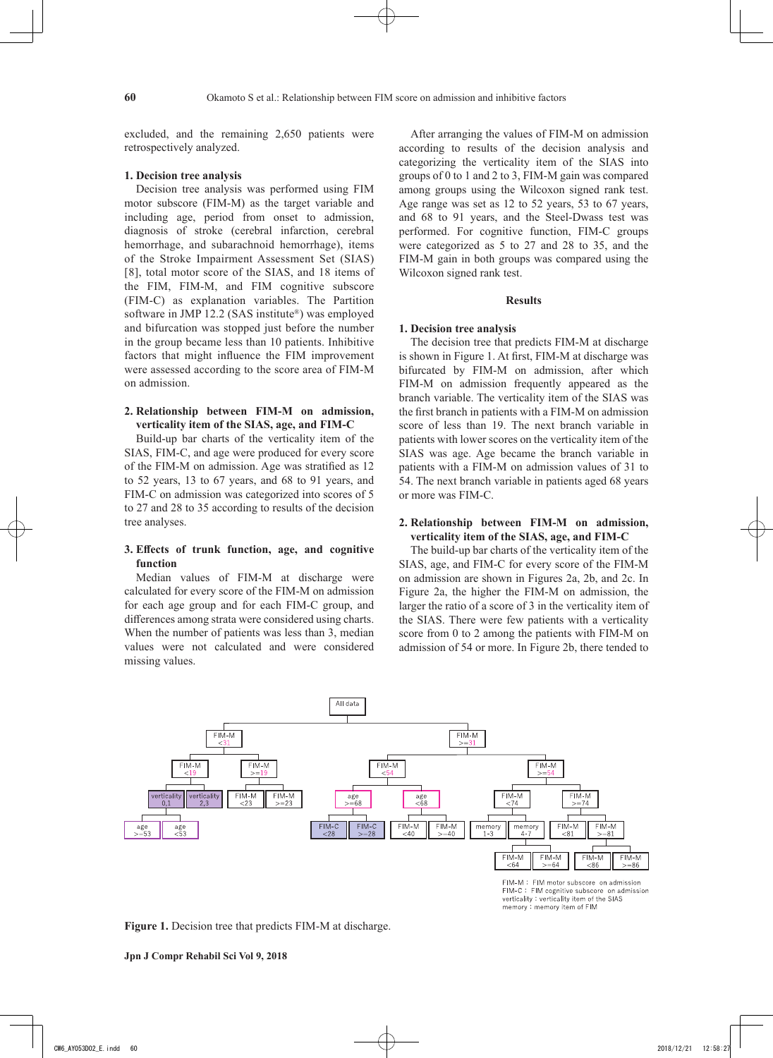excluded, and the remaining 2,650 patients were retrospectively analyzed.

## **1. Decision tree analysis**

Decision tree analysis was performed using FIM motor subscore (FIM-M) as the target variable and including age, period from onset to admission, diagnosis of stroke (cerebral infarction, cerebral hemorrhage, and subarachnoid hemorrhage), items of the Stroke Impairment Assessment Set (SIAS) [8], total motor score of the SIAS, and 18 items of the FIM, FIM-M, and FIM cognitive subscore (FIM-C) as explanation variables. The Partition software in JMP 12.2 (SAS institute®) was employed and bifurcation was stopped just before the number in the group became less than 10 patients. Inhibitive factors that might influence the FIM improvement were assessed according to the score area of FIM-M on admission.

## **2. Relationship between FIM-M on admission, verticality item of the SIAS, age, and FIM-C**

Build-up bar charts of the verticality item of the SIAS, FIM-C, and age were produced for every score of the FIM-M on admission. Age was stratified as 12 to 52 years, 13 to 67 years, and 68 to 91 years, and FIM-C on admission was categorized into scores of 5 to 27 and 28 to 35 according to results of the decision tree analyses.

## **3. Effects of trunk function, age, and cognitive function**

Median values of FIM-M at discharge were calculated for every score of the FIM-M on admission for each age group and for each FIM-C group, and differences among strata were considered using charts. When the number of patients was less than 3, median values were not calculated and were considered missing values.

After arranging the values of FIM-M on admission according to results of the decision analysis and categorizing the verticality item of the SIAS into groups of 0 to 1 and 2 to 3, FIM-M gain was compared among groups using the Wilcoxon signed rank test. Age range was set as 12 to 52 years, 53 to 67 years, and 68 to 91 years, and the Steel-Dwass test was performed. For cognitive function, FIM-C groups were categorized as 5 to 27 and 28 to 35, and the FIM-M gain in both groups was compared using the Wilcoxon signed rank test.

## **Results**

#### **1. Decision tree analysis**

The decision tree that predicts FIM-M at discharge is shown in Figure 1. At first, FIM-M at discharge was bifurcated by FIM-M on admission, after which FIM-M on admission frequently appeared as the branch variable. The verticality item of the SIAS was the first branch in patients with a FIM-M on admission score of less than 19. The next branch variable in patients with lower scores on the verticality item of the SIAS was age. Age became the branch variable in patients with a FIM-M on admission values of 31 to 54. The next branch variable in patients aged 68 years or more was FIM-C.

## **2. Relationship between FIM-M on admission, verticality item of the SIAS, age, and FIM-C**

The build-up bar charts of the verticality item of the SIAS, age, and FIM-C for every score of the FIM-M on admission are shown in Figures 2a, 2b, and 2c. In Figure 2a, the higher the FIM-M on admission, the larger the ratio of a score of 3 in the verticality item of the SIAS. There were few patients with a verticality score from 0 to 2 among the patients with FIM-M on admission of 54 or more. In Figure 2b, there tended to



FIM-M: FIM motor subscore on admission FIM-C: FIM cognitive subscore on admission<br>verticality: verticality item of the SIAS memory: memory item of FIM

**Figure 1.** Decision tree that predicts FIM-M at discharge.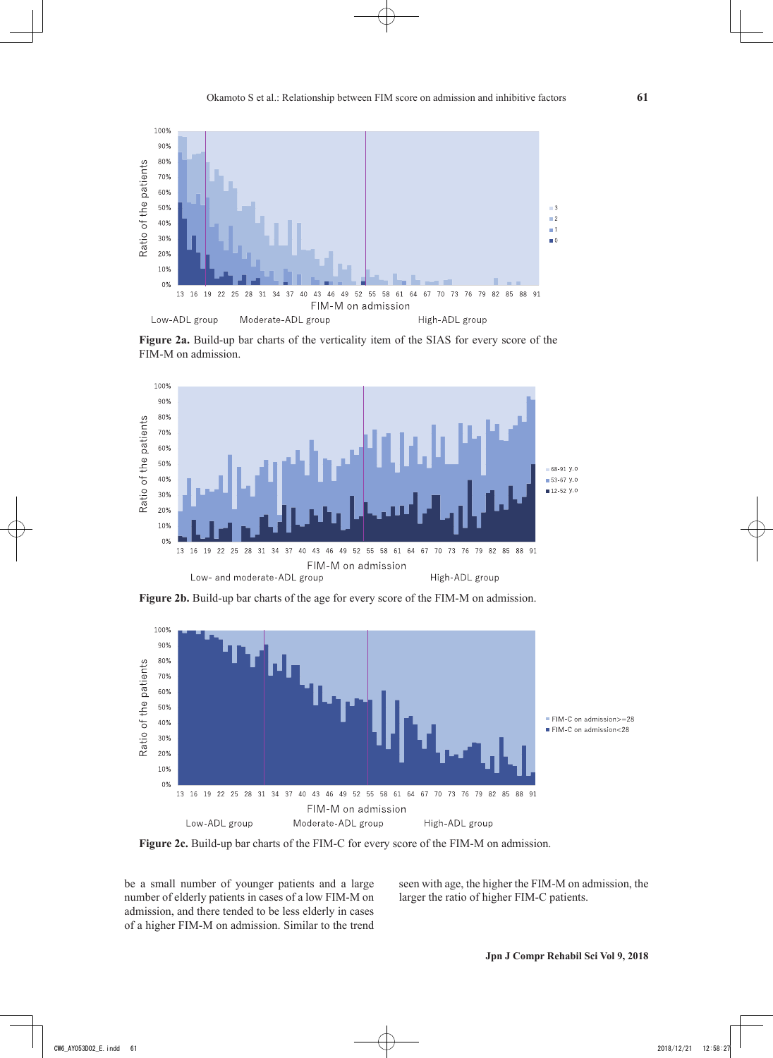

**Figure 2a.** Build-up bar charts of the verticality item of the SIAS for every score of the FIM-M on admission.



**Figure 2b.** Build-up bar charts of the age for every score of the FIM-M on admission.



**Figure 2c.** Build-up bar charts of the FIM-C for every score of the FIM-M on admission.

be a small number of younger patients and a large number of elderly patients in cases of a low FIM-M on admission, and there tended to be less elderly in cases of a higher FIM-M on admission. Similar to the trend seen with age, the higher the FIM-M on admission, the larger the ratio of higher FIM-C patients.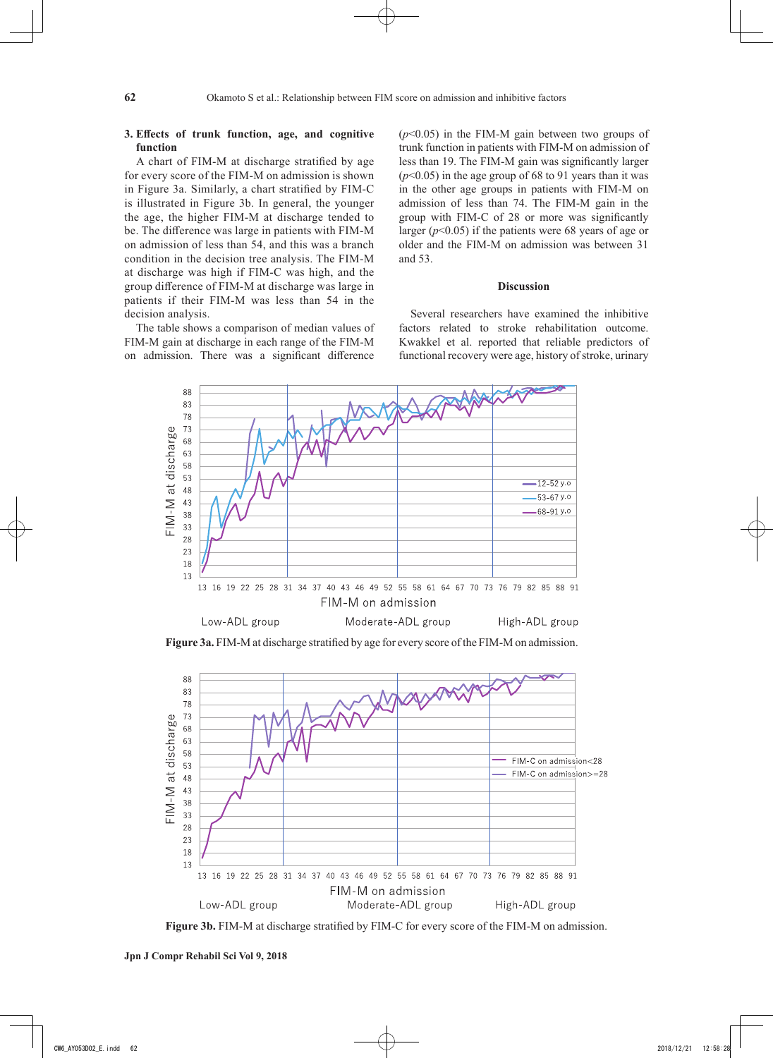## **3. Effects of trunk function, age, and cognitive function**

A chart of FIM-M at discharge stratified by age for every score of the FIM-M on admission is shown in Figure 3a. Similarly, a chart stratified by FIM-C is illustrated in Figure 3b. In general, the younger the age, the higher FIM-M at discharge tended to be. The difference was large in patients with FIM-M on admission of less than 54, and this was a branch condition in the decision tree analysis. The FIM-M at discharge was high if FIM-C was high, and the group difference of FIM-M at discharge was large in patients if their FIM-M was less than 54 in the decision analysis.

The table shows a comparison of median values of FIM-M gain at discharge in each range of the FIM-M on admission. There was a significant difference

(*p*<0.05) in the FIM-M gain between two groups of trunk function in patients with FIM-M on admission of less than 19. The FIM-M gain was significantly larger (*p*<0.05) in the age group of 68 to 91 years than it was in the other age groups in patients with FIM-M on admission of less than 74. The FIM-M gain in the group with FIM-C of 28 or more was significantly larger  $(p<0.05)$  if the patients were 68 years of age or older and the FIM-M on admission was between 31 and 53.

## **Discussion**

Several researchers have examined the inhibitive factors related to stroke rehabilitation outcome. Kwakkel et al. reported that reliable predictors of functional recovery were age, history of stroke, urinary



**Figure 3a.** FIM-M at discharge stratified by age for every score of the FIM-M on admission.



**Figure 3b.** FIM-M at discharge stratified by FIM-C for every score of the FIM-M on admission.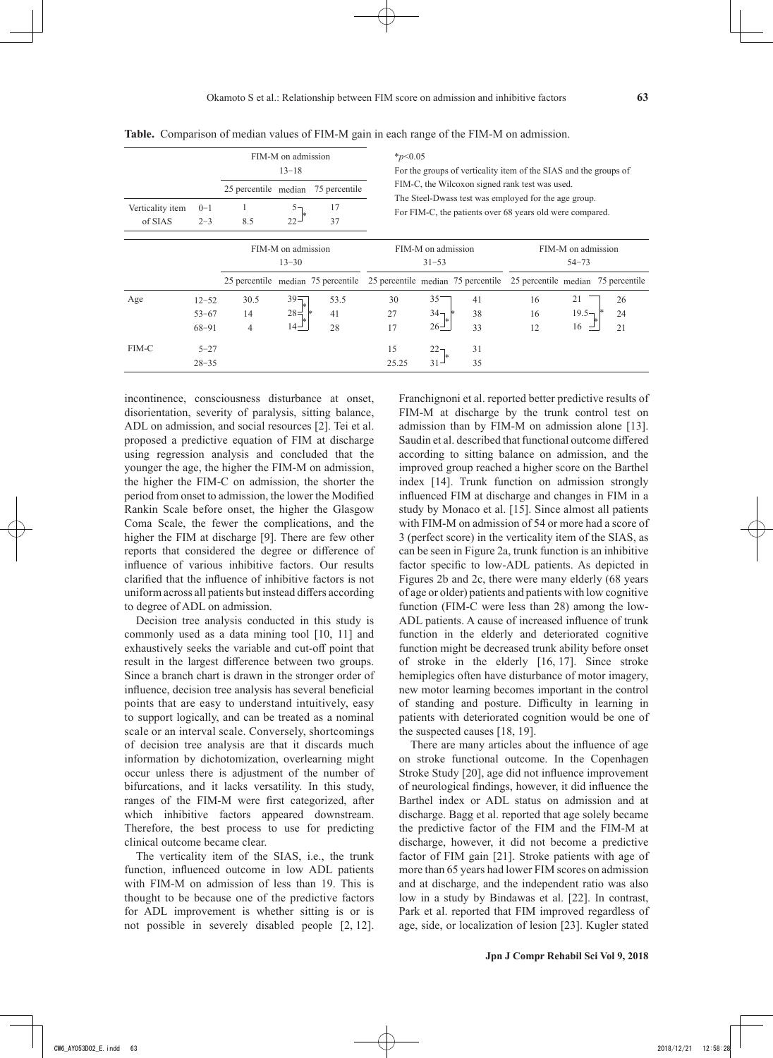|                             |                    |                                 | FIM-M on admission<br>$13 - 18$ |                                    | $*_{p<0.05}$<br>For the groups of verticality item of the SIAS and the groups of |                                                                                                                  |    |                                    |          |    |
|-----------------------------|--------------------|---------------------------------|---------------------------------|------------------------------------|----------------------------------------------------------------------------------|------------------------------------------------------------------------------------------------------------------|----|------------------------------------|----------|----|
|                             |                    | 25 percentile median            |                                 | 75 percentile                      | FIM-C, the Wilcoxon signed rank test was used.                                   |                                                                                                                  |    |                                    |          |    |
| Verticality item<br>of SIAS | $0 - 1$<br>$2 - 3$ | 8.5                             | $22 -$                          | 17<br>37                           |                                                                                  | The Steel-Dwass test was employed for the age group.<br>For FIM-C, the patients over 68 years old were compared. |    |                                    |          |    |
|                             |                    | FIM-M on admission<br>$13 - 30$ |                                 |                                    | FIM-M on admission<br>$31 - 53$                                                  |                                                                                                                  |    | FIM-M on admission<br>$54 - 73$    |          |    |
|                             |                    |                                 |                                 | 25 percentile median 75 percentile | 25 percentile median 75 percentile                                               |                                                                                                                  |    | 25 percentile median 75 percentile |          |    |
| Age                         | $12 - 52$          | 30.5                            | $39 -$                          | 53.5                               | 30                                                                               | 35                                                                                                               | 41 | 16                                 | 21       | 26 |
|                             | $53 - 67$          | 14                              | $28 =$                          | 41                                 | 27                                                                               | 34 <sub>7</sub>                                                                                                  | 38 | 16                                 | $19.5 -$ | 24 |
|                             | 68-91              | 4                               | $14-$                           | 28                                 | 17                                                                               | $26 -$                                                                                                           | 33 | 12                                 | 16       | 21 |
| FIM-C                       | $5 - 27$           |                                 |                                 |                                    | 15                                                                               | $22-$                                                                                                            | 31 |                                    |          |    |
|                             | $28 - 35$          |                                 |                                 |                                    | 25.25                                                                            | $31 -$                                                                                                           | 35 |                                    |          |    |

**Table.** Comparison of median values of FIM-M gain in each range of the FIM-M on admission.

incontinence, consciousness disturbance at onset, disorientation, severity of paralysis, sitting balance, ADL on admission, and social resources [2]. Tei et al. proposed a predictive equation of FIM at discharge using regression analysis and concluded that the younger the age, the higher the FIM-M on admission, the higher the FIM-C on admission, the shorter the period from onset to admission, the lower the Modified Rankin Scale before onset, the higher the Glasgow Coma Scale, the fewer the complications, and the higher the FIM at discharge [9]. There are few other reports that considered the degree or difference of influence of various inhibitive factors. Our results clarified that the influence of inhibitive factors is not uniform across all patients but instead differs according to degree of ADL on admission.

Decision tree analysis conducted in this study is commonly used as a data mining tool [10, 11] and exhaustively seeks the variable and cut-off point that result in the largest difference between two groups. Since a branch chart is drawn in the stronger order of influence, decision tree analysis has several beneficial points that are easy to understand intuitively, easy to support logically, and can be treated as a nominal scale or an interval scale. Conversely, shortcomings of decision tree analysis are that it discards much information by dichotomization, overlearning might occur unless there is adjustment of the number of bifurcations, and it lacks versatility. In this study, ranges of the FIM-M were first categorized, after which inhibitive factors appeared downstream. Therefore, the best process to use for predicting clinical outcome became clear.

The verticality item of the SIAS, i.e., the trunk function, influenced outcome in low ADL patients with FIM-M on admission of less than 19. This is thought to be because one of the predictive factors for ADL improvement is whether sitting is or is not possible in severely disabled people [2, 12]. Franchignoni et al. reported better predictive results of FIM-M at discharge by the trunk control test on admission than by FIM-M on admission alone [13]. Saudin et al. described that functional outcome differed according to sitting balance on admission, and the improved group reached a higher score on the Barthel index [14]. Trunk function on admission strongly influenced FIM at discharge and changes in FIM in a study by Monaco et al. [15]. Since almost all patients with FIM-M on admission of 54 or more had a score of 3 (perfect score) in the verticality item of the SIAS, as can be seen in Figure 2a, trunk function is an inhibitive factor specific to low-ADL patients. As depicted in Figures 2b and 2c, there were many elderly (68 years of age or older) patients and patients with low cognitive function (FIM-C were less than 28) among the low-ADL patients. A cause of increased influence of trunk function in the elderly and deteriorated cognitive function might be decreased trunk ability before onset of stroke in the elderly [16, 17]. Since stroke hemiplegics often have disturbance of motor imagery, new motor learning becomes important in the control of standing and posture. Difficulty in learning in patients with deteriorated cognition would be one of the suspected causes [18, 19].

There are many articles about the influence of age on stroke functional outcome. In the Copenhagen Stroke Study [20], age did not influence improvement of neurological findings, however, it did influence the Barthel index or ADL status on admission and at discharge. Bagg et al. reported that age solely became the predictive factor of the FIM and the FIM-M at discharge, however, it did not become a predictive factor of FIM gain [21]. Stroke patients with age of more than 65 years had lower FIM scores on admission and at discharge, and the independent ratio was also low in a study by Bindawas et al. [22]. In contrast, Park et al. reported that FIM improved regardless of age, side, or localization of lesion [23]. Kugler stated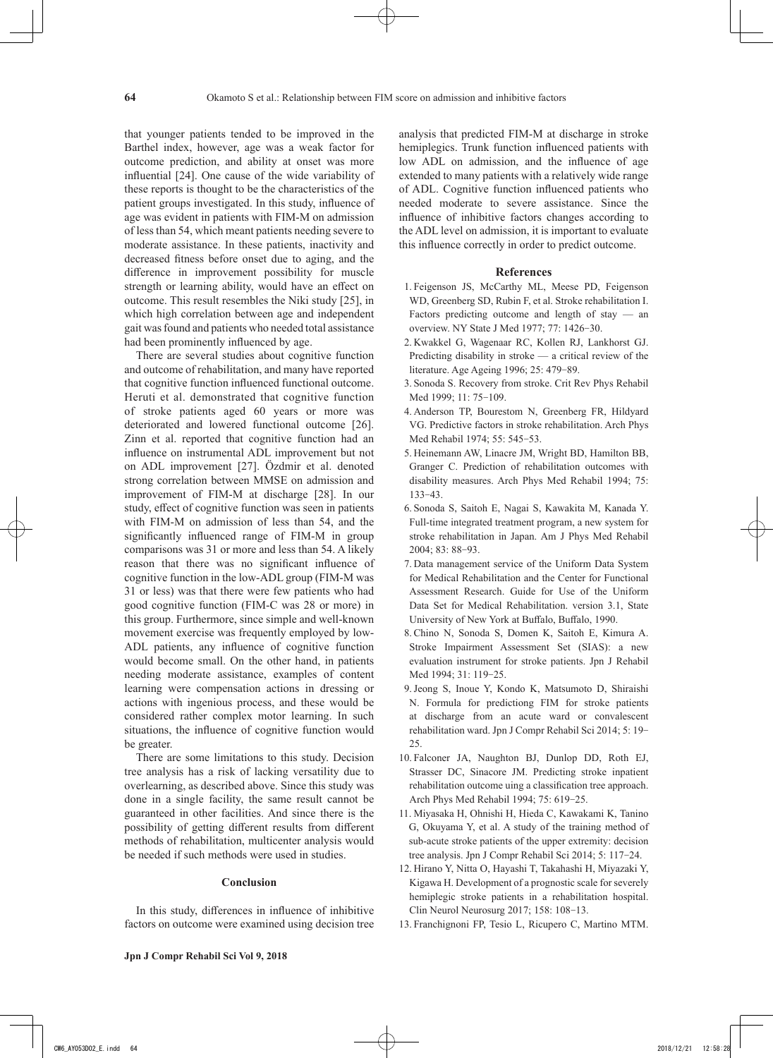that younger patients tended to be improved in the Barthel index, however, age was a weak factor for outcome prediction, and ability at onset was more influential [24]. One cause of the wide variability of these reports is thought to be the characteristics of the patient groups investigated. In this study, influence of age was evident in patients with FIM-M on admission of less than 54, which meant patients needing severe to moderate assistance. In these patients, inactivity and decreased fitness before onset due to aging, and the difference in improvement possibility for muscle strength or learning ability, would have an effect on outcome. This result resembles the Niki study [25], in which high correlation between age and independent gait was found and patients who needed total assistance had been prominently influenced by age.

There are several studies about cognitive function and outcome of rehabilitation, and many have reported that cognitive function influenced functional outcome. Heruti et al. demonstrated that cognitive function of stroke patients aged 60 years or more was deteriorated and lowered functional outcome [26]. Zinn et al. reported that cognitive function had an influence on instrumental ADL improvement but not on ADL improvement [27]. Özdmir et al. denoted strong correlation between MMSE on admission and improvement of FIM-M at discharge [28]. In our study, effect of cognitive function was seen in patients with FIM-M on admission of less than 54, and the significantly influenced range of FIM-M in group comparisons was 31 or more and less than 54. A likely reason that there was no significant influence of cognitive function in the low-ADL group (FIM-M was 31 or less) was that there were few patients who had good cognitive function (FIM-C was 28 or more) in this group. Furthermore, since simple and well-known movement exercise was frequently employed by low-ADL patients, any influence of cognitive function would become small. On the other hand, in patients needing moderate assistance, examples of content learning were compensation actions in dressing or actions with ingenious process, and these would be considered rather complex motor learning. In such situations, the influence of cognitive function would be greater.

There are some limitations to this study. Decision tree analysis has a risk of lacking versatility due to overlearning, as described above. Since this study was done in a single facility, the same result cannot be guaranteed in other facilities. And since there is the possibility of getting different results from different methods of rehabilitation, multicenter analysis would be needed if such methods were used in studies.

## **Conclusion**

In this study, differences in influence of inhibitive factors on outcome were examined using decision tree analysis that predicted FIM-M at discharge in stroke hemiplegics. Trunk function influenced patients with low ADL on admission, and the influence of age extended to many patients with a relatively wide range of ADL. Cognitive function influenced patients who needed moderate to severe assistance. Since the influence of inhibitive factors changes according to the ADL level on admission, it is important to evaluate this influence correctly in order to predict outcome.

#### **References**

- 1. Feigenson JS, McCarthy ML, Meese PD, Feigenson WD, Greenberg SD, Rubin F, et al. Stroke rehabilitation I. Factors predicting outcome and length of stay — an overview. NY State J Med 1977; 77: 1426-30.
- 2. Kwakkel G, Wagenaar RC, Kollen RJ, Lankhorst GJ. Predicting disability in stroke — a critical review of the literature. Age Ageing 1996; 25: 479-89.
- 3. Sonoda S. Recovery from stroke. Crit Rev Phys Rehabil Med 1999; 11: 75-109.
- 4. Anderson TP, Bourestom N, Greenberg FR, Hildyard VG. Predictive factors in stroke rehabilitation. Arch Phys Med Rehabil 1974; 55: 545-53.
- 5. Heinemann AW, Linacre JM, Wright BD, Hamilton BB, Granger C. Prediction of rehabilitation outcomes with disability measures. Arch Phys Med Rehabil 1994; 75: 133-43.
- 6. Sonoda S, Saitoh E, Nagai S, Kawakita M, Kanada Y. Full-time integrated treatment program, a new system for stroke rehabilitation in Japan. Am J Phys Med Rehabil 2004; 83: 88-93.
- 7. Data management service of the Uniform Data System for Medical Rehabilitation and the Center for Functional Assessment Research. Guide for Use of the Uniform Data Set for Medical Rehabilitation. version 3.1, State University of New York at Buffalo, Buffalo, 1990.
- 8. Chino N, Sonoda S, Domen K, Saitoh E, Kimura A. Stroke Impairment Assessment Set (SIAS): a new evaluation instrument for stroke patients. Jpn J Rehabil Med 1994; 31: 119-25.
- 9.Jeong S, Inoue Y, Kondo K, Matsumoto D, Shiraishi N. Formula for predictiong FIM for stroke patients at discharge from an acute ward or convalescent rehabilitation ward. Jpn J Compr Rehabil Sci 2014; 5: 19-25.
- 10. Falconer JA, Naughton BJ, Dunlop DD, Roth EJ, Strasser DC, Sinacore JM. Predicting stroke inpatient rehabilitation outcome uing a classification tree approach. Arch Phys Med Rehabil 1994; 75: 619-25.
- 11. Miyasaka H, Ohnishi H, Hieda C, Kawakami K, Tanino G, Okuyama Y, et al. A study of the training method of sub-acute stroke patients of the upper extremity: decision tree analysis. Jpn J Compr Rehabil Sci 2014; 5: 117-24.
- 12. Hirano Y, Nitta O, Hayashi T, Takahashi H, Miyazaki Y, Kigawa H. Development of a prognostic scale for severely hemiplegic stroke patients in a rehabilitation hospital. Clin Neurol Neurosurg 2017; 158: 108-13.
- 13. Franchignoni FP, Tesio L, Ricupero C, Martino MTM.